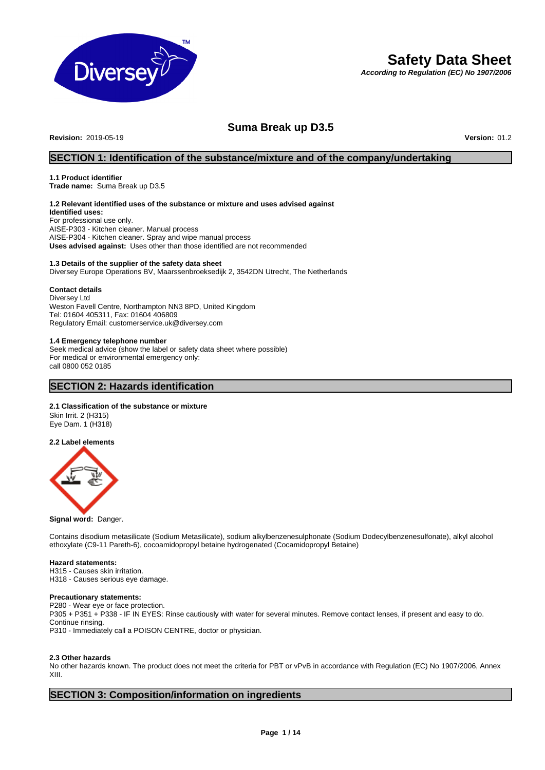

# **Safety Data Sheet**

*According to Regulation (EC) No 1907/2006*

## **Suma Break up D3.5**

**Revision:** 2019-05-19 **Version:** 01.2

## **SECTION 1: Identification of the substance/mixture and of the company/undertaking**

## **1.1 Product identifier**

**Trade name:** Suma Break up D3.5

## **1.2 Relevant identified uses of the substance or mixture and uses advised against**

**Identified uses:** For professional use only. AISE-P303 - Kitchen cleaner. Manual process AISE-P304 - Kitchen cleaner. Spray and wipe manual process **Uses advised against:** Uses other than those identified are not recommended

## **1.3 Details of the supplier of the safety data sheet**

Diversey Europe Operations BV, Maarssenbroeksedijk 2, 3542DN Utrecht, The Netherlands

## **Contact details**

Diversey Ltd Weston Favell Centre, Northampton NN3 8PD, United Kingdom Tel: 01604 405311, Fax: 01604 406809 Regulatory Email: customerservice.uk@diversey.com

## **1.4 Emergency telephone number**

Seek medical advice (show the label or safety data sheet where possible) For medical or environmental emergency only: call 0800 052 0185

## **SECTION 2: Hazards identification**

## **2.1 Classification of the substance or mixture**

Skin Irrit. 2 (H315) Eye Dam. 1 (H318)

## **2.2 Label elements**



**Signal word:** Danger.

Contains disodium metasilicate (Sodium Metasilicate), sodium alkylbenzenesulphonate (Sodium Dodecylbenzenesulfonate), alkyl alcohol ethoxylate (C9-11 Pareth-6), cocoamidopropyl betaine hydrogenated (Cocamidopropyl Betaine)

## **Hazard statements:**

H315 - Causes skin irritation. H318 - Causes serious eye damage.

## **Precautionary statements:**

P280 - Wear eye or face protection. P305 + P351 + P338 - IF IN EYES: Rinse cautiously with water for several minutes. Remove contact lenses, if present and easy to do. Continue rinsing. P310 - Immediately call a POISON CENTRE, doctor or physician.

## **2.3 Other hazards**

No other hazards known. The product does not meet the criteria for PBT or vPvB in accordance with Regulation (EC) No 1907/2006, Annex XIII.

## **SECTION 3: Composition/information on ingredients**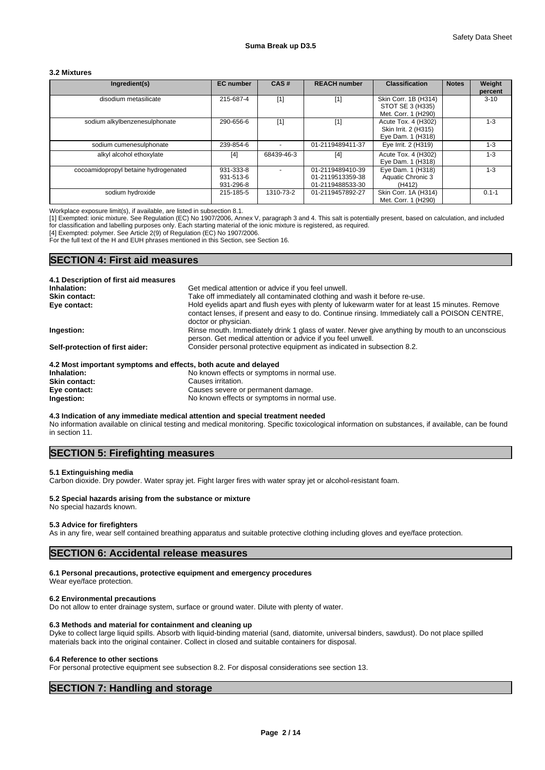## **3.2 Mixtures**

| Ingredient(s)                        | <b>EC</b> number                    | CAS#       | <b>REACH number</b>                                      | <b>Classification</b>                                            | <b>Notes</b> | Weight<br>percent |
|--------------------------------------|-------------------------------------|------------|----------------------------------------------------------|------------------------------------------------------------------|--------------|-------------------|
| disodium metasilicate                | 215-687-4                           | $[1]$      | $[1]$                                                    | Skin Corr. 1B (H314)<br>STOT SE 3 (H335)<br>Met. Corr. 1 (H290)  |              | $3 - 10$          |
| sodium alkylbenzenesulphonate        | 290-656-6                           | $[1]$      | $[1]$                                                    | Acute Tox. 4 (H302)<br>Skin Irrit. 2 (H315)<br>Eye Dam. 1 (H318) |              | $1 - 3$           |
| sodium cumenesulphonate              | 239-854-6                           |            | 01-2119489411-37                                         | Eye Irrit. 2 (H319)                                              |              | $1 - 3$           |
| alkyl alcohol ethoxylate             | [4]                                 | 68439-46-3 | [4]                                                      | Acute Tox. 4 (H302)<br>Eye Dam. 1 (H318)                         |              | $1 - 3$           |
| cocoamidopropyl betaine hydrogenated | 931-333-8<br>931-513-6<br>931-296-8 |            | 01-2119489410-39<br>01-2119513359-38<br>01-2119488533-30 | Eye Dam. 1 (H318)<br>Aquatic Chronic 3<br>(H412)                 |              | $1 - 3$           |
| sodium hydroxide                     | 215-185-5                           | 1310-73-2  | 01-2119457892-27                                         | Skin Corr. 1A (H314)<br>Met. Corr. 1 (H290)                      |              | $0.1 - 1$         |

Workplace exposure limit(s), if available, are listed in subsection 8.1.

[1] Exempted: ionic mixture. See Regulation (EC) No 1907/2006, Annex V, paragraph 3 and 4. This salt is potentially present, based on calculation, and included for classification and labelling purposes only. Each starting material of the ionic mixture is registered, as required.

[4] Exempted: polymer. See Article 2(9) of Regulation (EC) No 1907/2006.

For the full text of the H and EUH phrases mentioned in this Section, see Section 16.

## **SECTION 4: First aid measures**

| 4.1 Description of first aid measures                           |                                                                                                                                                                                                                           |
|-----------------------------------------------------------------|---------------------------------------------------------------------------------------------------------------------------------------------------------------------------------------------------------------------------|
| Inhalation:                                                     | Get medical attention or advice if you feel unwell.                                                                                                                                                                       |
| <b>Skin contact:</b>                                            | Take off immediately all contaminated clothing and wash it before re-use.                                                                                                                                                 |
| Eye contact:                                                    | Hold eyelids apart and flush eyes with plenty of lukewarm water for at least 15 minutes. Remove<br>contact lenses, if present and easy to do. Continue rinsing. Immediately call a POISON CENTRE,<br>doctor or physician. |
| Ingestion:                                                      | Rinse mouth. Immediately drink 1 glass of water. Never give anything by mouth to an unconscious<br>person. Get medical attention or advice if you feel unwell.                                                            |
| Self-protection of first aider:                                 | Consider personal protective equipment as indicated in subsection 8.2.                                                                                                                                                    |
| 4.2 Most important symptoms and effects, both acute and delayed |                                                                                                                                                                                                                           |
| Inhalation:                                                     | No known effects or symptoms in normal use.                                                                                                                                                                               |
| Skin contact:                                                   | Causes irritation                                                                                                                                                                                                         |

**Skin contact:** Causes irritation. **Eye contact:** Causes severe or permanent damage. **Ingestion:** No known effects or symptoms in normal use.

**4.3 Indication of any immediate medical attention and special treatment needed**

No information available on clinical testing and medical monitoring. Specific toxicological information on substances, if available, can be found in section 11.

## **SECTION 5: Firefighting measures**

### **5.1 Extinguishing media**

Carbon dioxide. Dry powder. Water spray jet. Fight larger fires with water spray jet or alcohol-resistant foam.

## **5.2 Special hazards arising from the substance or mixture**

#### No special hazards known.

## **5.3 Advice for firefighters**

As in any fire, wear self contained breathing apparatus and suitable protective clothing including gloves and eye/face protection.

## **SECTION 6: Accidental release measures**

## **6.1 Personal precautions, protective equipment and emergency procedures**

Wear eye/face protection.

### **6.2 Environmental precautions**

Do not allow to enter drainage system, surface or ground water. Dilute with plenty of water.

## **6.3 Methods and material for containment and cleaning up**

Dyke to collect large liquid spills. Absorb with liquid-binding material (sand, diatomite, universal binders, sawdust). Do not place spilled materials back into the original container. Collect in closed and suitable containers for disposal.

#### **6.4 Reference to other sections**

For personal protective equipment see subsection 8.2. For disposal considerations see section 13.

## **SECTION 7: Handling and storage**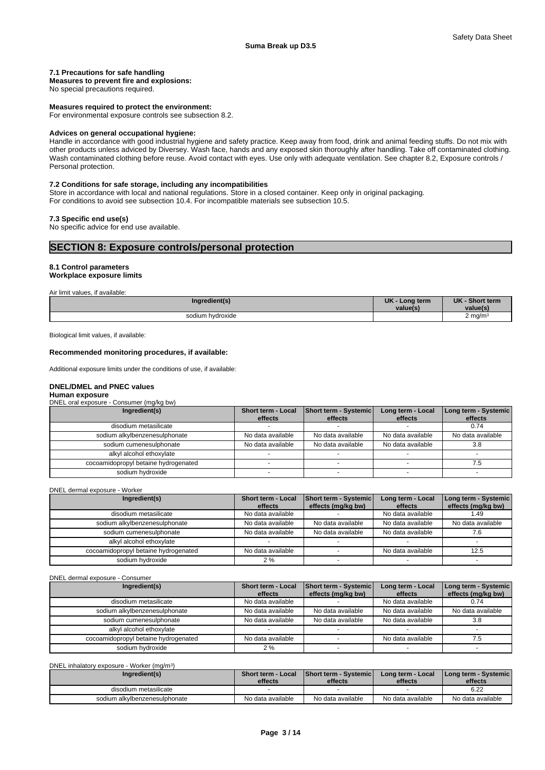## Safety Data Sheet

## **7.1 Precautions for safe handling**

**Measures to prevent fire and explosions:**

No special precautions required.

### **Measures required to protect the environment:**

For environmental exposure controls see subsection 8.2.

#### **Advices on general occupational hygiene:**

Handle in accordance with good industrial hygiene and safety practice. Keep away from food, drink and animal feeding stuffs. Do not mix with other products unless adviced by Diversey. Wash face, hands and any exposed skin thoroughly after handling. Take off contaminated clothing. Wash contaminated clothing before reuse. Avoid contact with eyes. Use only with adequate ventilation. See chapter 8.2, Exposure controls / Personal protection.

## **7.2 Conditions for safe storage, including any incompatibilities**

Store in accordance with local and national regulations. Store in a closed container. Keep only in original packaging. For conditions to avoid see subsection 10.4. For incompatible materials see subsection 10.5.

## **7.3 Specific end use(s)**

No specific advice for end use available.

## **SECTION 8: Exposure controls/personal protection**

## **8.1 Control parameters Workplace exposure limits**

Air limit values, if available:

| Ingredient(s)         | <b>UK</b><br>Long term<br>value(s | <b>UK</b><br><b>Short term</b><br>value(s) |  |
|-----------------------|-----------------------------------|--------------------------------------------|--|
| sodium hydroxide<br>. |                                   | 2 ma/m<br>$\cdot$                          |  |

Biological limit values, if available:

### **Recommended monitoring procedures, if available:**

Additional exposure limits under the conditions of use, if available:

## **DNEL/DMEL and PNEC values Human exposure**

DNEL oral exposure - Consumer (mg/kg bw)

| Ingredient(s)                        | Short term - Local<br>effects | Short term - Systemic<br>effects | Long term - Local<br>effects | Long term - Systemic<br>effects |
|--------------------------------------|-------------------------------|----------------------------------|------------------------------|---------------------------------|
| disodium metasilicate                |                               |                                  |                              | 0.74                            |
| sodium alkylbenzenesulphonate        | No data available             | No data available                | No data available            | No data available               |
| sodium cumenesulphonate              | No data available             | No data available                | No data available            | 3.8                             |
| alkyl alcohol ethoxylate             |                               |                                  |                              |                                 |
| cocoamidopropyl betaine hydrogenated |                               |                                  |                              |                                 |
| sodium hydroxide                     |                               |                                  |                              |                                 |

DNEL dermal exposure - Worker

| Ingredient(s)                        | <b>Short term - Local</b><br>effects | Short term - Systemic<br>effects (mg/kg bw) | Long term - Local<br>effects | Long term - Systemic<br>effects (mg/kg bw) |
|--------------------------------------|--------------------------------------|---------------------------------------------|------------------------------|--------------------------------------------|
| disodium metasilicate                | No data available                    |                                             | No data available            | 1.49                                       |
| sodium alkylbenzenesulphonate        | No data available                    | No data available                           | No data available            | No data available                          |
| sodium cumenesulphonate              | No data available                    | No data available                           | No data available            |                                            |
| alkyl alcohol ethoxylate             |                                      |                                             |                              |                                            |
| cocoamidopropyl betaine hydrogenated | No data available                    |                                             | No data available            | 12.5                                       |
| sodium hydroxide                     | 2%                                   |                                             |                              |                                            |

#### DNEL dermal exposure - Consumer

| Ingredient(s)                        | <b>Short term - Local</b><br>effects | Short term - Systemic<br>effects (mg/kg bw) | Long term - Local<br>effects | Long term - Systemic<br>effects (mg/kg bw) |
|--------------------------------------|--------------------------------------|---------------------------------------------|------------------------------|--------------------------------------------|
| disodium metasilicate                | No data available                    |                                             | No data available            | 0.74                                       |
| sodium alkylbenzenesulphonate        | No data available                    | No data available                           | No data available            | No data available                          |
| sodium cumenesulphonate              | No data available                    | No data available                           | No data available            | 3.8                                        |
| alkyl alcohol ethoxylate             |                                      |                                             |                              |                                            |
| cocoamidopropyl betaine hydrogenated | No data available                    |                                             | No data available            |                                            |
| sodium hydroxide                     | 2%                                   |                                             |                              |                                            |

DNEL inhalatory exposure - Worker (mg/m<sup>3</sup>

| DNEL inhalatory exposure - Worker (mg/m <sup>3</sup> ) |                                      |                                  |                              |                                          |
|--------------------------------------------------------|--------------------------------------|----------------------------------|------------------------------|------------------------------------------|
| Ingredient(s)                                          | <b>Short term - Local</b><br>effects | Short term - Systemic<br>effects | Long term - Local<br>effects | <b>I Long term - Systemic</b><br>effects |
| disodium metasilicate                                  |                                      |                                  |                              | 6.22                                     |
| sodium alkylbenzenesulphonate                          | No data available                    | No data available                | No data available            | No data available                        |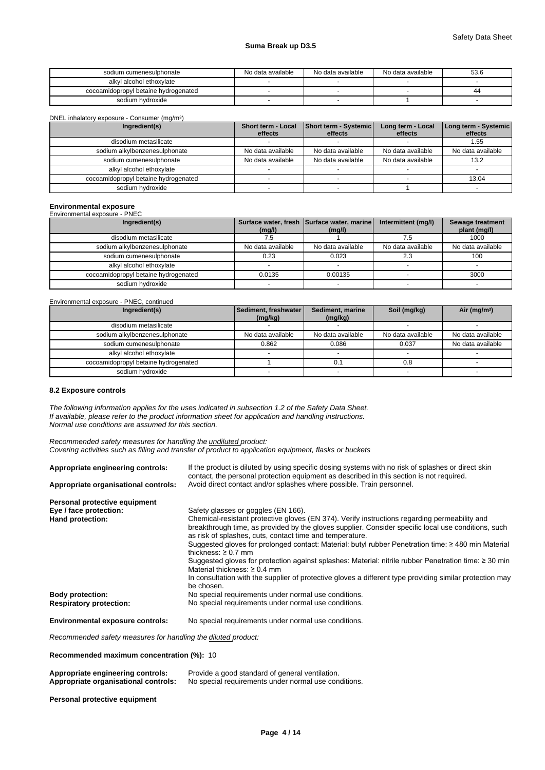| sodium cumenesulphonate              | No data available | No data available | No data available | 53.6 |
|--------------------------------------|-------------------|-------------------|-------------------|------|
| alkyl alcohol ethoxylate             |                   |                   |                   |      |
| cocoamidopropyl betaine hydrogenated |                   |                   |                   | 44   |
| sodium hydroxide                     |                   |                   |                   |      |

DNEL inhalatory exposure - Consumer (mg/m<sup>3</sup>

| DNEL inhalatory exposure - Consumer (mg/m <sup>3</sup> ) |                               |                                  |                              |                                 |
|----------------------------------------------------------|-------------------------------|----------------------------------|------------------------------|---------------------------------|
| Ingredient(s)                                            | Short term - Local<br>effects | Short term - Systemic<br>effects | Long term - Local<br>effects | Long term - Systemic<br>effects |
| disodium metasilicate                                    |                               |                                  |                              | 1.55                            |
| sodium alkylbenzenesulphonate                            | No data available             | No data available                | No data available            | No data available               |
| sodium cumenesulphonate                                  | No data available             | No data available                | No data available            | 13.2                            |
| alkyl alcohol ethoxylate                                 |                               |                                  |                              |                                 |
| cocoamidopropyl betaine hydrogenated                     |                               |                                  |                              | 13.04                           |
| sodium hydroxide                                         |                               |                                  |                              |                                 |

# **Environmental exposure** Environmental exposure - PNEC

| Environmontal oxpocato integ         |                   |                                                      |                     |                                  |
|--------------------------------------|-------------------|------------------------------------------------------|---------------------|----------------------------------|
| Ingredient(s)                        | (mg/l)            | Surface water, fresh Surface water, marine<br>(mg/l) | Intermittent (mg/l) | Sewage treatment<br>plant (mg/l) |
| disodium metasilicate                |                   |                                                      |                     | 1000                             |
| sodium alkylbenzenesulphonate        | No data available | No data available                                    | No data available   | No data available                |
| sodium cumenesulphonate              | 0.23              | 0.023                                                |                     | 100                              |
| alkyl alcohol ethoxylate             |                   |                                                      |                     |                                  |
| cocoamidopropyl betaine hydrogenated | 0.0135            | 0.00135                                              |                     | 3000                             |
| sodium hydroxide                     |                   |                                                      |                     |                                  |

Environmental exposure - PNEC, continued

| Ingredient(s)                        | Sediment, freshwater | Sediment, marine  | Soil (mg/kg)      | Air ( $mg/m3$ )   |
|--------------------------------------|----------------------|-------------------|-------------------|-------------------|
| disodium metasilicate                | (mg/kg)              | (mg/kg)           |                   |                   |
| sodium alkylbenzenesulphonate        | No data available    | No data available | No data available | No data available |
| sodium cumenesulphonate              | 0.862                | 0.086             | 0.037             | No data available |
| alkyl alcohol ethoxylate             |                      |                   |                   |                   |
| cocoamidopropyl betaine hydrogenated |                      | 0.1               | 0.8               |                   |
| sodium hydroxide                     |                      |                   |                   |                   |

## **8.2 Exposure controls**

*The following information applies for the uses indicated in subsection 1.2 of the Safety Data Sheet. If available, please refer to the product information sheet for application and handling instructions. Normal use conditions are assumed for this section.*

*Recommended safety measures for handling the undiluted product: Covering activities such as filling and transfer of product to application equipment, flasks or buckets*

| Appropriate engineering controls:       | If the product is diluted by using specific dosing systems with no risk of splashes or direct skin<br>contact, the personal protection equipment as described in this section is not required. |
|-----------------------------------------|------------------------------------------------------------------------------------------------------------------------------------------------------------------------------------------------|
| Appropriate organisational controls:    | Avoid direct contact and/or splashes where possible. Train personnel.                                                                                                                          |
| Personal protective equipment           |                                                                                                                                                                                                |
| Eye / face protection:                  | Safety glasses or goggles (EN 166).                                                                                                                                                            |
| Hand protection:                        | Chemical-resistant protective gloves (EN 374). Verify instructions regarding permeability and                                                                                                  |
|                                         | breakthrough time, as provided by the gloves supplier. Consider specific local use conditions, such<br>as risk of splashes, cuts, contact time and temperature.                                |
|                                         | Suggested gloves for prolonged contact: Material: butyl rubber Penetration time: $\geq$ 480 min Material<br>thickness: $\geq 0.7$ mm                                                           |
|                                         | Suggested gloves for protection against splashes: Material: nitrile rubber Penetration time: ≥ 30 min<br>Material thickness: $\geq 0.4$ mm                                                     |
|                                         | In consultation with the supplier of protective gloves a different type providing similar protection may<br>be chosen.                                                                         |
| <b>Body protection:</b>                 | No special requirements under normal use conditions.                                                                                                                                           |
| <b>Respiratory protection:</b>          | No special requirements under normal use conditions.                                                                                                                                           |
| <b>Environmental exposure controls:</b> | No special requirements under normal use conditions.                                                                                                                                           |

*Recommended safety measures for handling the diluted product:*

**Recommended maximum concentration (%):** 10

| Appropriate engineering controls:    | Provide a good standard of general ventilation.      |
|--------------------------------------|------------------------------------------------------|
| Appropriate organisational controls: | No special requirements under normal use conditions. |

## **Personal protective equipment**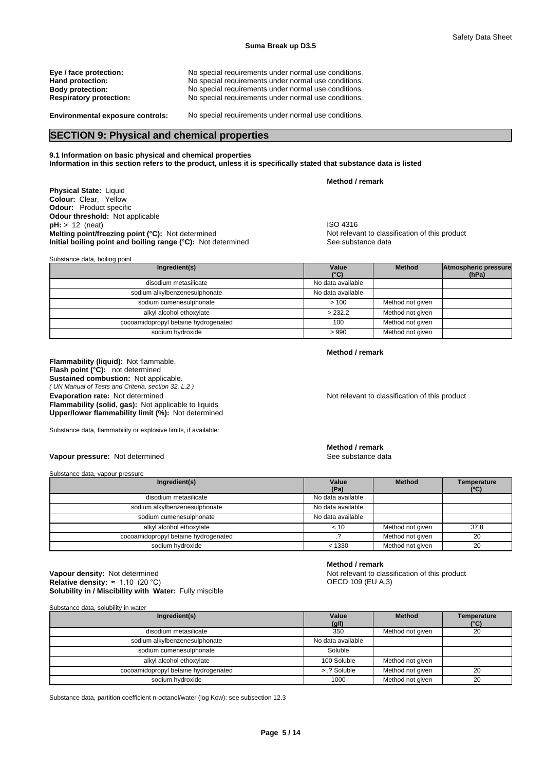| Eye / face protection:         | No special requirements under normal use conditions. |
|--------------------------------|------------------------------------------------------|
| Hand protection:               | No special requirements under normal use conditions. |
| <b>Body protection:</b>        | No special requirements under normal use conditions. |
| <b>Respiratory protection:</b> | No special requirements under normal use conditions. |
|                                |                                                      |

**Environmental exposure controls:** No special requirements under normal use conditions.

## **SECTION 9: Physical and chemical properties**

**9.1 Information on basic physical and chemical properties Information in this section refers to the product, unless it is specifically stated that substance data is listed**

**Physical State:** Liquid **Colour:** Clear, Yellow **Odour:** Product specific **Odour threshold:** Not applicable **pH:** > 12 (neat) **ISO 4316 Melting point/freezing point (°C):** Not determined **Notification** of this product **nitial boiling point and boiling range (°C):** Not determined **nitial boiling point and boiling range (°C):** Not determined See substance d **Initial boiling point and boiling range (°C):** Not determined

| Substance data, boiling point        |                        |                  |                                      |
|--------------------------------------|------------------------|------------------|--------------------------------------|
| Ingredient(s)                        | Value<br>$(^{\circ}C)$ | <b>Method</b>    | <b>Atmospheric pressure</b><br>(hPa) |
| disodium metasilicate                | No data available      |                  |                                      |
| sodium alkylbenzenesulphonate        | No data available      |                  |                                      |
| sodium cumenesulphonate              | >100                   | Method not given |                                      |
| alkyl alcohol ethoxylate             | > 232.2                | Method not given |                                      |
| cocoamidopropyl betaine hydrogenated | 100                    | Method not given |                                      |
| sodium hydroxide                     | >990                   | Method not given |                                      |

**Method / remark**

**Method / remark**

**Flammability (liquid):** Not flammable. *( UN Manual of Tests and Criteria, section 32, L.2 )* **Flash point (°C):** not determined **Sustained combustion:** Not applicable. **Evaporation rate:** Not determined **Notice 2008** Not relevant to classification of this product **Flammability (solid, gas):** Not applicable to liquids **Upper/lower flammability limit (%):** Not determined

Substance data, flammability or explosive limits, if available:

**Method / remark**

**Vapour pressure:** Not determined See substance data

Substance data, vapour pressure

| Ingredient(s)                        | Value<br>(Pa)     | <b>Method</b>    | <b>Temperature</b><br>(°C) |
|--------------------------------------|-------------------|------------------|----------------------------|
| disodium metasilicate                | No data available |                  |                            |
| sodium alkylbenzenesulphonate        | No data available |                  |                            |
| sodium cumenesulphonate              | No data available |                  |                            |
| alkyl alcohol ethoxylate             | < 10              | Method not given | 37.8                       |
| cocoamidopropyl betaine hydrogenated |                   | Method not given | 20                         |
| sodium hydroxide                     | < 1330            | Method not given | 20                         |

## **Solubility in / Miscibility with Water:** Fully miscible **Vapour density:** Not determined **Notify and ST 2009** Not relevant to classification of this product **Relative density:** ≈1.10(20°C)

## **Method / remark**

OECD 109 (EU A.3)

Substance data, solubility in water

| Ingredient(s)                        | Value<br>(g/l)    | <b>Method</b>    | <b>Temperature</b><br>$(^{\circ}C)$ |
|--------------------------------------|-------------------|------------------|-------------------------------------|
| disodium metasilicate                | 350               | Method not given | 20                                  |
| sodium alkylbenzenesulphonate        | No data available |                  |                                     |
| sodium cumenesulphonate              | Soluble           |                  |                                     |
| alkyl alcohol ethoxylate             | 100 Soluble       | Method not given |                                     |
| cocoamidopropyl betaine hydrogenated | > .? Soluble      | Method not given | 20                                  |
| sodium hydroxide                     | 1000              | Method not given | 20                                  |

Substance data, partition coefficient n-octanol/water (log Kow): see subsection 12.3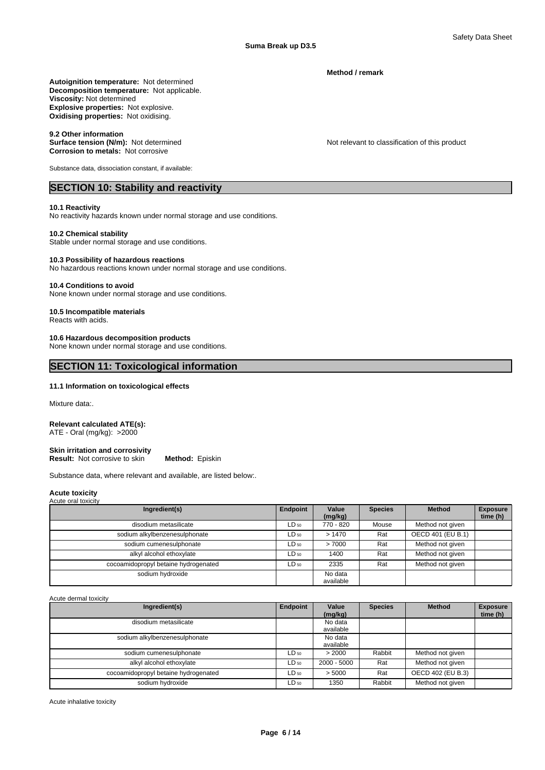**Method / remark**

**Decomposition temperature:** Not applicable. **Autoignition temperature:** Not determined **Viscosity:** Not determined **Explosive properties:** Not explosive. **Oxidising properties:** Not oxidising.

## **9.2 Other information**

**Surface tension (N/m):** Not determined Not relevant to classification of this product **Corrosion to metals:** Not corrosive

Substance data, dissociation constant, if available:

## **SECTION 10: Stability and reactivity**

## **10.1 Reactivity**

No reactivity hazards known under normal storage and use conditions.

## **10.2 Chemical stability**

Stable under normal storage and use conditions.

## **10.3 Possibility of hazardous reactions**

No hazardous reactions known under normal storage and use conditions.

#### **10.4 Conditions to avoid**

None known under normal storage and use conditions.

### **10.5 Incompatible materials**

Reacts with acids.

## **10.6 Hazardous decomposition products**

None known under normal storage and use conditions.

## **SECTION 11: Toxicological information**

## **11.1 Information on toxicological effects**

Mixture data:.

## **Relevant calculated ATE(s):**

ATE - Oral (mg/kg): >2000

## **Skin irritation and corrosivity Result:** Not corrosive to skin **Method:** Episkin

Substance data, where relevant and available, are listed below:.

#### **Acute toxicity** Acute oral toxicity

| $1$ to grow of the restriction $\mathbf{r}$ |           |                      |                |                   |                             |
|---------------------------------------------|-----------|----------------------|----------------|-------------------|-----------------------------|
| Ingredient(s)                               | Endpoint  | Value<br>(mg/kg)     | <b>Species</b> | <b>Method</b>     | <b>Exposure</b><br>time (h) |
| disodium metasilicate                       | $LD_{50}$ | 770 - 820            | Mouse          | Method not given  |                             |
| sodium alkylbenzenesulphonate               | $LD_{50}$ | >1470                | Rat            | OECD 401 (EU B.1) |                             |
| sodium cumenesulphonate                     | $LD_{50}$ | >7000                | Rat            | Method not given  |                             |
| alkyl alcohol ethoxylate                    | $LD_{50}$ | 1400                 | Rat            | Method not given  |                             |
| cocoamidopropyl betaine hydrogenated        | $LD_{50}$ | 2335                 | Rat            | Method not given  |                             |
| sodium hydroxide                            |           | No data<br>available |                |                   |                             |

Acute dermal toxicity

| Ingredient(s)                        | Endpoint  | Value<br>(mg/kg)     | <b>Species</b> | <b>Method</b>     | <b>Exposure</b><br>time (h) |
|--------------------------------------|-----------|----------------------|----------------|-------------------|-----------------------------|
| disodium metasilicate                |           | No data              |                |                   |                             |
| sodium alkylbenzenesulphonate        |           | available<br>No data |                |                   |                             |
|                                      |           | available            |                |                   |                             |
| sodium cumenesulphonate              | $LD_{50}$ | > 2000               | Rabbit         | Method not given  |                             |
| alkyl alcohol ethoxylate             | $LD_{50}$ | 2000 - 5000          | Rat            | Method not given  |                             |
| cocoamidopropyl betaine hydrogenated | $LD_{50}$ | > 5000               | Rat            | OECD 402 (EU B.3) |                             |
| sodium hydroxide                     | $LD_{50}$ | 1350                 | Rabbit         | Method not given  |                             |

Acute inhalative toxicity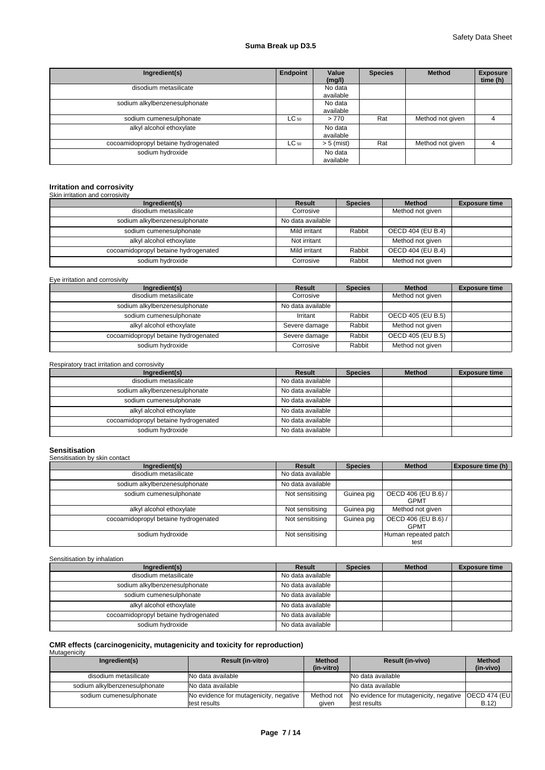| Ingredient(s)                        | Endpoint  | Value<br>(mg/l)      | <b>Species</b> | <b>Method</b>    | <b>Exposure</b><br>time (h) |
|--------------------------------------|-----------|----------------------|----------------|------------------|-----------------------------|
| disodium metasilicate                |           | No data<br>available |                |                  |                             |
| sodium alkylbenzenesulphonate        |           | No data<br>available |                |                  |                             |
| sodium cumenesulphonate              | $LC_{50}$ | >770                 | Rat            | Method not given |                             |
| alkyl alcohol ethoxylate             |           | No data<br>available |                |                  |                             |
| cocoamidopropyl betaine hydrogenated | $LC_{50}$ | $> 5$ (mist)         | Rat            | Method not given |                             |
| sodium hydroxide                     |           | No data<br>available |                |                  |                             |

# **Irritation and corrosivity** Skin irritation and corrosivity

| Ingredient(s)                        | Result            | <b>Species</b> | <b>Method</b>     | <b>Exposure time</b> |
|--------------------------------------|-------------------|----------------|-------------------|----------------------|
| disodium metasilicate                | Corrosive         |                | Method not given  |                      |
| sodium alkylbenzenesulphonate        | No data available |                |                   |                      |
| sodium cumenesulphonate              | Mild irritant     | Rabbit         | OECD 404 (EU B.4) |                      |
| alkyl alcohol ethoxylate             | Not irritant      |                | Method not given  |                      |
| cocoamidopropyl betaine hydrogenated | Mild irritant     | Rabbit         | OECD 404 (EU B.4) |                      |
| sodium hydroxide                     | Corrosive         | Rabbit         | Method not given  |                      |

## Eye irritation and corrosivity

| Ingredient(s)                        | Result            | <b>Species</b> | <b>Method</b>     | <b>Exposure time</b> |
|--------------------------------------|-------------------|----------------|-------------------|----------------------|
| disodium metasilicate                | Corrosive         |                | Method not given  |                      |
| sodium alkylbenzenesulphonate        | No data available |                |                   |                      |
| sodium cumenesulphonate              | Irritant          | Rabbit         | OECD 405 (EU B.5) |                      |
| alkyl alcohol ethoxylate             | Severe damage     | Rabbit         | Method not given  |                      |
| cocoamidopropyl betaine hydrogenated | Severe damage     | Rabbit         | OECD 405 (EU B.5) |                      |
| sodium hydroxide                     | Corrosive         | Rabbit         | Method not given  |                      |

## Respiratory tract irritation and corrosivity

| Ingredient(s)                        | Result            | <b>Species</b> | <b>Method</b> | <b>Exposure time</b> |
|--------------------------------------|-------------------|----------------|---------------|----------------------|
| disodium metasilicate                | No data available |                |               |                      |
| sodium alkylbenzenesulphonate        | No data available |                |               |                      |
| sodium cumenesulphonate              | No data available |                |               |                      |
| alkyl alcohol ethoxylate             | No data available |                |               |                      |
| cocoamidopropyl betaine hydrogenated | No data available |                |               |                      |
| sodium hydroxide                     | No data available |                |               |                      |

| <b>Sensitisation</b><br>Sensitisation by skin contact |                   |                |                                    |                          |
|-------------------------------------------------------|-------------------|----------------|------------------------------------|--------------------------|
| Ingredient(s)                                         | Result            | <b>Species</b> | <b>Method</b>                      | <b>Exposure time (h)</b> |
| disodium metasilicate                                 | No data available |                |                                    |                          |
| sodium alkylbenzenesulphonate                         | No data available |                |                                    |                          |
| sodium cumenesulphonate                               | Not sensitising   | Guinea pig     | OECD 406 (EU B.6) /<br><b>GPMT</b> |                          |
| alkyl alcohol ethoxylate                              | Not sensitising   | Guinea pig     | Method not given                   |                          |
| cocoamidopropyl betaine hydrogenated                  | Not sensitising   | Guinea pig     | OECD 406 (EU B.6) /<br><b>GPMT</b> |                          |
| sodium hydroxide                                      | Not sensitising   |                | Human repeated patch<br>test       |                          |

Sensitisation by inhalation

| Ingredient(s)                        | <b>Result</b>     | <b>Species</b> | <b>Method</b> | <b>Exposure time</b> |
|--------------------------------------|-------------------|----------------|---------------|----------------------|
| disodium metasilicate                | No data available |                |               |                      |
| sodium alkylbenzenesulphonate        | No data available |                |               |                      |
| sodium cumenesulphonate              | No data available |                |               |                      |
| alkyl alcohol ethoxylate             | No data available |                |               |                      |
| cocoamidopropyl betaine hydrogenated | No data available |                |               |                      |
| sodium hydroxide                     | No data available |                |               |                      |

# **CMR effects (carcinogenicity, mutagenicity and toxicity for reproduction)** Mutagenicity

| Ingredient(s)                 | <b>Result (in-vitro)</b>               | <b>Method</b><br>(in-vitro) | <b>Result (in-vivo)</b>                              | <b>Method</b><br>(in-vivo) |
|-------------------------------|----------------------------------------|-----------------------------|------------------------------------------------------|----------------------------|
| disodium metasilicate         | <b>No data available</b>               |                             | No data available                                    |                            |
| sodium alkylbenzenesulphonate | No data available                      |                             | No data available                                    |                            |
| sodium cumenesulphonate       | No evidence for mutagenicity, negative | Method not                  | No evidence for mutagenicity, negative OECD 474 (EU) |                            |
|                               | ltest results                          | aiven                       | test results                                         | B.12                       |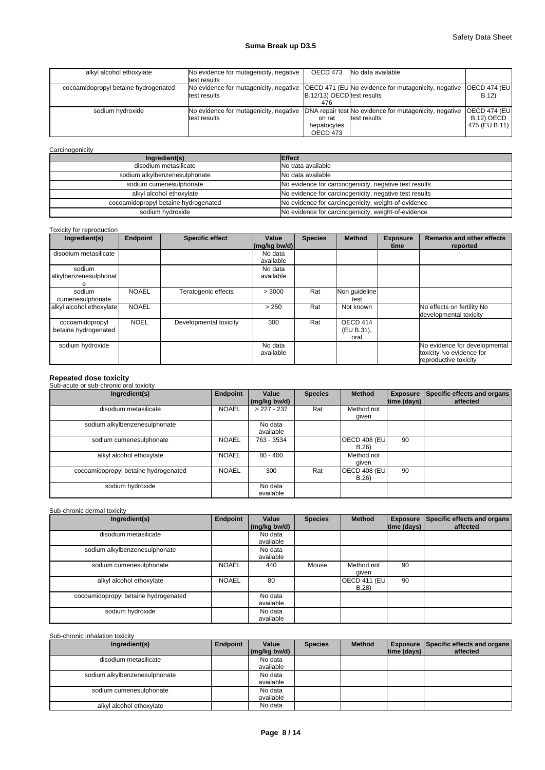| alkyl alcohol ethoxylate             | No evidence for mutagenicity, negative<br>test results                                                       | OECD 473                          | No data available                                                      |                                                     |
|--------------------------------------|--------------------------------------------------------------------------------------------------------------|-----------------------------------|------------------------------------------------------------------------|-----------------------------------------------------|
| cocoamidopropyl betaine hydrogenated | No evidence for mutagenicity, negative   OECD 471 (EU No evidence for mutagenicity, negative<br>test results | B.12/13) OECD test results<br>476 |                                                                        | <b>OECD 474 (EUI</b><br>B.12                        |
| sodium hydroxide                     | No evidence for mutagenicity, negative<br>test results                                                       | on rat<br>hepatocytes<br>OECD 473 | DNA repair test No evidence for mutagenicity, negative<br>test results | <b>OECD 474 (EUI</b><br>B.12) OECD<br>475 (EU B.11) |

## **Carcinogenicity**

| Ingredient(s)                        | Effect                                                 |
|--------------------------------------|--------------------------------------------------------|
| disodium metasilicate                | No data available                                      |
| sodium alkylbenzenesulphonate        | No data available                                      |
| sodium cumenesulphonate              | No evidence for carcinogenicity, negative test results |
| alkyl alcohol ethoxylate             | No evidence for carcinogenicity, negative test results |
| cocoamidopropyl betaine hydrogenated | No evidence for carcinogenicity, weight-of-evidence    |
| sodium hydroxide                     | No evidence for carcinogenicity, weight-of-evidence    |

## Toxicity for reproduction

| Ingredient(s)                           | <b>Endpoint</b> | <b>Specific effect</b> | Value<br>$(mq/kg$ bw/d) | <b>Species</b> | <b>Method</b>                  | <b>Exposure</b><br>time | <b>Remarks and other effects</b><br>reported                                       |
|-----------------------------------------|-----------------|------------------------|-------------------------|----------------|--------------------------------|-------------------------|------------------------------------------------------------------------------------|
| disodium metasilicate                   |                 |                        | No data<br>available    |                |                                |                         |                                                                                    |
| sodium<br>alkylbenzenesulphonat         |                 |                        | No data<br>available    |                |                                |                         |                                                                                    |
| sodium<br>cumenesulphonate              | <b>NOAEL</b>    | Teratogenic effects    | > 3000                  | Rat            | Non guideline<br>test          |                         |                                                                                    |
| alkyl alcohol ethoxylate                | <b>NOAEL</b>    |                        | > 250                   | Rat            | Not known                      |                         | No effects on fertility No<br>developmental toxicity                               |
| cocoamidopropyl<br>betaine hydrogenated | <b>NOEL</b>     | Developmental toxicity | 300                     | Rat            | OECD 414<br>(EU B.31),<br>oral |                         |                                                                                    |
| sodium hydroxide                        |                 |                        | No data<br>available    |                |                                |                         | No evidence for developmental<br>toxicity No evidence for<br>reproductive toxicity |

# **Repeated dose toxicity** Sub-acute or sub-chronic oral toxicity

| Ingredient(s)                        | Endpoint     | Value<br>(mg/kg bw/d) | <b>Species</b> | <b>Method</b>                | <b>Exposure</b><br> time (days) | Specific effects and organs<br>affected |
|--------------------------------------|--------------|-----------------------|----------------|------------------------------|---------------------------------|-----------------------------------------|
| disodium metasilicate                | <b>NOAEL</b> | $>227 - 237$          | Rat            | Method not<br>qiven          |                                 |                                         |
| sodium alkylbenzenesulphonate        |              | No data<br>available  |                |                              |                                 |                                         |
| sodium cumenesulphonate              | <b>NOAEL</b> | 763 - 3534            |                | <b>OECD 408 (EU)</b><br>B.26 | -90                             |                                         |
| alkyl alcohol ethoxylate             | <b>NOAEL</b> | $80 - 400$            |                | Method not<br>qiven          |                                 |                                         |
| cocoamidopropyl betaine hydrogenated | <b>NOAEL</b> | 300                   | Rat            | <b>OECD 408 (EU)</b><br>B.26 | 90                              |                                         |
| sodium hydroxide                     |              | No data<br>available  |                |                              |                                 |                                         |

## Sub-chronic dermal toxicity

| Ingredient(s)                        | Endpoint     | Value<br>(mg/kg bw/d) | <b>Species</b> | <b>Method</b>                | $ time$ (days) $ $ | <b>Exposure   Specific effects and organs  </b><br>affected |
|--------------------------------------|--------------|-----------------------|----------------|------------------------------|--------------------|-------------------------------------------------------------|
| disodium metasilicate                |              | No data<br>available  |                |                              |                    |                                                             |
| sodium alkylbenzenesulphonate        |              | No data<br>available  |                |                              |                    |                                                             |
| sodium cumenesulphonate              | <b>NOAEL</b> | 440                   | Mouse          | Method not<br>qiven          | 90                 |                                                             |
| alkyl alcohol ethoxylate             | <b>NOAEL</b> | 80                    |                | <b>OECD 411 (EU)</b><br>B.28 | 90                 |                                                             |
| cocoamidopropyl betaine hydrogenated |              | No data<br>available  |                |                              |                    |                                                             |
| sodium hydroxide                     |              | No data<br>available  |                |                              |                    |                                                             |

## Sub-chronic inhalation toxicity

| Ingredient(s)                 | Endpoint | Value        | <b>Species</b> | <b>Method</b> |                    | <b>Exposure Specific effects and organs</b> |
|-------------------------------|----------|--------------|----------------|---------------|--------------------|---------------------------------------------|
|                               |          | (mg/kg bw/d) |                |               | $ time$ (days) $ $ | affected                                    |
| disodium metasilicate         |          | No data      |                |               |                    |                                             |
|                               |          | available    |                |               |                    |                                             |
| sodium alkylbenzenesulphonate |          | No data      |                |               |                    |                                             |
|                               |          | available    |                |               |                    |                                             |
| sodium cumenesulphonate       |          | No data      |                |               |                    |                                             |
|                               |          | available    |                |               |                    |                                             |
| alkyl alcohol ethoxylate      |          | No data      |                |               |                    |                                             |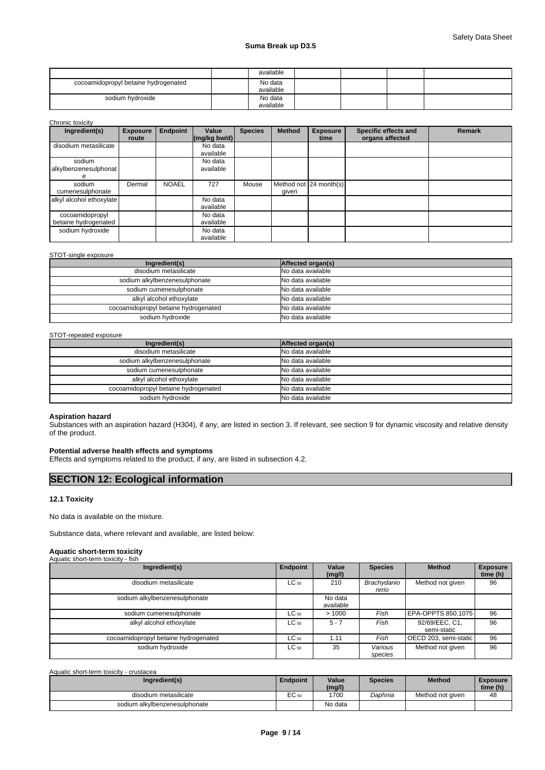|                                      | available |  |  |
|--------------------------------------|-----------|--|--|
| cocoamidopropyl betaine hydrogenated | No data   |  |  |
|                                      | available |  |  |
| sodium hydroxide                     | No data   |  |  |
|                                      | available |  |  |

Chronic toxicity

| Ingredient(s)                           | <b>Exposure</b><br>route | <b>Endpoint</b> | Value<br>$\frac{mq}{kq}$ bw/d) | <b>Species</b> | <b>Method</b> | <b>Exposure</b><br>time | Specific effects and<br>organs affected | <b>Remark</b> |
|-----------------------------------------|--------------------------|-----------------|--------------------------------|----------------|---------------|-------------------------|-----------------------------------------|---------------|
| disodium metasilicate                   |                          |                 | No data<br>available           |                |               |                         |                                         |               |
| sodium<br>alkylbenzenesulphonat<br>e    |                          |                 | No data<br>available           |                |               |                         |                                         |               |
| sodium<br>cumenesulphonate              | Dermal                   | <b>NOAEL</b>    | 727                            | Mouse          | given         | Method not 24 month(s)  |                                         |               |
| alkyl alcohol ethoxylate                |                          |                 | No data<br>available           |                |               |                         |                                         |               |
| cocoamidopropyl<br>betaine hydrogenated |                          |                 | No data<br>available           |                |               |                         |                                         |               |
| sodium hydroxide                        |                          |                 | No data<br>available           |                |               |                         |                                         |               |

## STOT-single exposure

| Ingredient(s)                        | Affected organ(s) |
|--------------------------------------|-------------------|
| disodium metasilicate                | No data available |
| sodium alkylbenzenesulphonate        | No data available |
| sodium cumenesulphonate              | No data available |
| alkyl alcohol ethoxylate             | No data available |
| cocoamidopropyl betaine hydrogenated | No data available |
| sodium hydroxide                     | No data available |

## STOT-repeated exposure

| Ingredient(s)                        | Affected organ(s) |
|--------------------------------------|-------------------|
| disodium metasilicate                | No data available |
| sodium alkylbenzenesulphonate        | No data available |
| sodium cumenesulphonate              | No data available |
| alkyl alcohol ethoxylate             | No data available |
| cocoamidopropyl betaine hydrogenated | No data available |
| sodium hydroxide                     | No data available |

#### **Aspiration hazard**

Substances with an aspiration hazard (H304), if any, are listed in section 3. If relevant, see section 9 for dynamic viscosity and relative density of the product.

### **Potential adverse health effects and symptoms**

Effects and symptoms related to the product, if any, are listed in subsection 4.2.

## **SECTION 12: Ecological information**

## **12.1 Toxicity**

No data is available on the mixture.

Substance data, where relevant and available, are listed below:

#### **Aquatic short-term toxicity** Aquatic short-term toxicity - fish

| 1.999<br>.                           |           |                      |                      |                               |                 |
|--------------------------------------|-----------|----------------------|----------------------|-------------------------------|-----------------|
| Ingredient(s)                        | Endpoint  | Value                | <b>Species</b>       | <b>Method</b>                 | <b>Exposure</b> |
|                                      |           | (mg/l)               |                      |                               | time (h)        |
| disodium metasilicate                | $LC_{50}$ | 210                  | Brachydanio<br>rerio | Method not given              | 96              |
| sodium alkylbenzenesulphonate        |           | No data<br>available |                      |                               |                 |
| sodium cumenesulphonate              | $LC_{50}$ | >1000                | Fish                 | EPA-OPPTS 850.1075            | 96              |
| alkyl alcohol ethoxylate             | $LC_{50}$ | $5 - 7$              | Fish                 | 92/69/EEC, C1,<br>semi-static | 96              |
| cocoamidopropyl betaine hydrogenated | $LC_{50}$ | 1.11                 | Fish                 | OECD 203, semi-static         | 96              |
| sodium hydroxide                     | $LC_{50}$ | 35                   | Various<br>species   | Method not given              | 96              |

Aquatic short-term toxicity - crustacea

| Ingredient(s)                 | <b>Endpoint</b> | Value<br>(mg/l) | <b>Species</b> | <b>Method</b>    | <b>Exposure</b><br>time (h) |
|-------------------------------|-----------------|-----------------|----------------|------------------|-----------------------------|
| disodium metasilicate         | EC 50           | 1700            | Daphnia        | Method not given | 48                          |
| sodium alkylbenzenesulphonate |                 | No data         |                |                  |                             |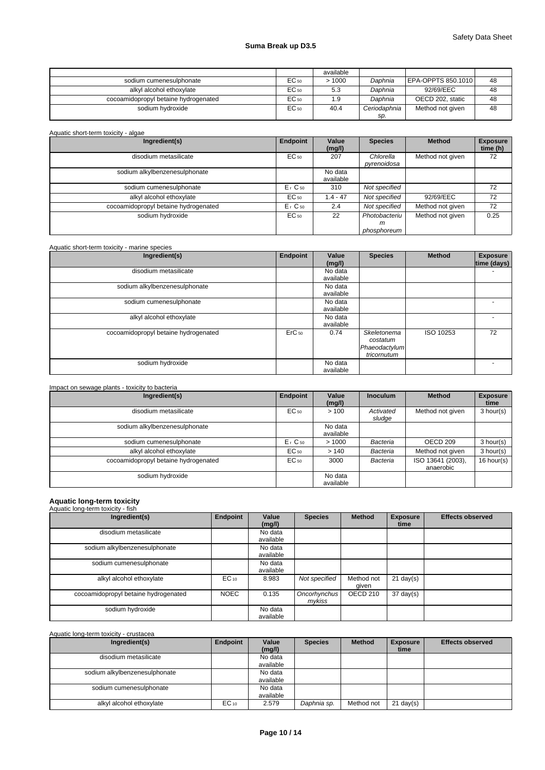|                                      |           | available |              |                    |    |
|--------------------------------------|-----------|-----------|--------------|--------------------|----|
| sodium cumenesulphonate              | EC 50     | >1000     | Daphnia      | EPA-OPPTS 850.1010 | 48 |
| alkyl alcohol ethoxylate             | EC 50     | 5.3       | Daphnia      | 92/69/EEC          | 48 |
| cocoamidopropyl betaine hydrogenated | $EC_{50}$ | 1.9       | Daphnia      | OECD 202, static   | 48 |
| sodium hydroxide                     | $EC_{50}$ | 40.4      | Ceriodaphnia | Method not given   | 48 |
|                                      |           |           | SD.          |                    |    |

| Ingredient(s)                        | <b>Endpoint</b>      | Value<br>(mg/l)      | <b>Species</b>                    | <b>Method</b>    | <b>Exposure</b><br>time (h) |
|--------------------------------------|----------------------|----------------------|-----------------------------------|------------------|-----------------------------|
| disodium metasilicate                | EC 50                | 207                  | Chlorella<br>pyrenoidosa          | Method not given | 72                          |
| sodium alkylbenzenesulphonate        |                      | No data<br>available |                                   |                  |                             |
| sodium cumenesulphonate              | $Er$ C <sub>50</sub> | 310                  | Not specified                     |                  | 72                          |
| alkyl alcohol ethoxylate             | EC 50                | $1.4 - 47$           | Not specified                     | 92/69/EEC        | 72                          |
| cocoamidopropyl betaine hydrogenated | $Er$ C <sub>50</sub> | 2.4                  | Not specified                     | Method not given | 72                          |
| sodium hydroxide                     | EC 50                | 22                   | Photobacteriu<br>m<br>phosphoreum | Method not given | 0.25                        |

| Aquatic short-term toxicity - marine species |                   |                      |                                                         |           |                                |
|----------------------------------------------|-------------------|----------------------|---------------------------------------------------------|-----------|--------------------------------|
| Ingredient(s)                                | Endpoint          | Value<br>(mg/l)      | <b>Species</b>                                          | Method    | <b>Exposure</b><br>time (days) |
| disodium metasilicate                        |                   | No data<br>available |                                                         |           |                                |
| sodium alkylbenzenesulphonate                |                   | No data<br>available |                                                         |           |                                |
| sodium cumenesulphonate                      |                   | No data<br>available |                                                         |           |                                |
| alkyl alcohol ethoxylate                     |                   | No data<br>available |                                                         |           |                                |
| cocoamidopropyl betaine hydrogenated         | ErC <sub>50</sub> | 0.74                 | Skeletonema<br>costatum<br>Phaeodactylum<br>tricornutum | ISO 10253 | 72                             |
| sodium hydroxide                             |                   | No data<br>available |                                                         |           |                                |

| Impact on sewage plants - toxicity to bacteria |                      |                      |                     |                                |                         |
|------------------------------------------------|----------------------|----------------------|---------------------|--------------------------------|-------------------------|
| Ingredient(s)                                  | <b>Endpoint</b>      | Value<br>(mg/l)      | <b>Inoculum</b>     | <b>Method</b>                  | <b>Exposure</b><br>time |
| disodium metasilicate                          | $EC_{50}$            | >100                 | Activated<br>sludge | Method not given               | 3 hour(s)               |
| sodium alkylbenzenesulphonate                  |                      | No data<br>available |                     |                                |                         |
| sodium cumenesulphonate                        | $Er$ C <sub>50</sub> | >1000                | Bacteria            | OECD 209                       | 3 hour(s)               |
| alkyl alcohol ethoxylate                       | $EC_{50}$            | >140                 | Bacteria            | Method not given               | 3 hour(s)               |
| cocoamidopropyl betaine hydrogenated           | $EC_{50}$            | 3000                 | Bacteria            | ISO 13641 (2003),<br>anaerobic | $16$ hour(s)            |
| sodium hydroxide                               |                      | No data<br>available |                     |                                |                         |

# **Aquatic long-term toxicity** Aquatic long-term toxicity - fish

| Ingredient(s)                        | Endpoint    | Value<br>(mg/l)      | <b>Species</b>         | <b>Method</b>       | <b>Exposure</b><br>time | <b>Effects observed</b> |
|--------------------------------------|-------------|----------------------|------------------------|---------------------|-------------------------|-------------------------|
| disodium metasilicate                |             | No data<br>available |                        |                     |                         |                         |
| sodium alkylbenzenesulphonate        |             | No data<br>available |                        |                     |                         |                         |
| sodium cumenesulphonate              |             | No data<br>available |                        |                     |                         |                         |
| alkyl alcohol ethoxylate             | $EC_{10}$   | 8.983                | Not specified          | Method not<br>given | $21 \text{ day}(s)$     |                         |
| cocoamidopropyl betaine hydrogenated | <b>NOEC</b> | 0.135                | Oncorhynchus<br>mykiss | OECD 210            | $37 \text{ day}(s)$     |                         |
| sodium hydroxide                     |             | No data<br>available |                        |                     |                         |                         |

## Aquatic long-term toxicity - crustacea

| Ingredient(s)                 | Endpoint  | Value<br>(mg/l)      | <b>Species</b> | <b>Method</b> | <b>Exposure</b><br>time | <b>Effects observed</b> |
|-------------------------------|-----------|----------------------|----------------|---------------|-------------------------|-------------------------|
| disodium metasilicate         |           | No data<br>available |                |               |                         |                         |
| sodium alkylbenzenesulphonate |           | No data<br>available |                |               |                         |                         |
| sodium cumenesulphonate       |           | No data<br>available |                |               |                         |                         |
| alkyl alcohol ethoxylate      | $EC_{10}$ | 2.579                | Daphnia sp.    | Method not    | $21$ day(s)             |                         |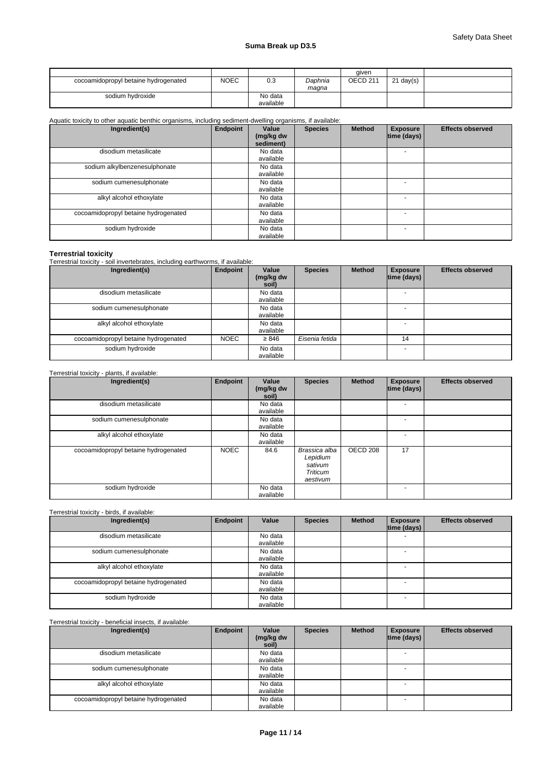|                                      |             |                      |                  | aiven               |             |  |
|--------------------------------------|-------------|----------------------|------------------|---------------------|-------------|--|
| cocoamidopropyl betaine hydrogenated | <b>NOEC</b> | 0.3                  | Daphnia<br>magna | OECD <sub>211</sub> | $21$ day(s) |  |
| sodium hydroxide                     |             | No data<br>available |                  |                     |             |  |

## Aquatic toxicity to other aquatic benthic organisms, including sediment-dwelling organisms, if available:

| Ingredient(s)                        | Endpoint | Value<br>(mg/kg dw<br>sediment) | <b>Species</b> | <b>Method</b> | <b>Exposure</b><br> time (days) | <b>Effects observed</b> |
|--------------------------------------|----------|---------------------------------|----------------|---------------|---------------------------------|-------------------------|
| disodium metasilicate                |          | No data<br>available            |                |               |                                 |                         |
| sodium alkylbenzenesulphonate        |          | No data<br>available            |                |               |                                 |                         |
| sodium cumenesulphonate              |          | No data<br>available            |                |               |                                 |                         |
| alkyl alcohol ethoxylate             |          | No data<br>available            |                |               |                                 |                         |
| cocoamidopropyl betaine hydrogenated |          | No data<br>available            |                |               |                                 |                         |
| sodium hydroxide                     |          | No data<br>available            |                |               |                                 |                         |

**Terrestrial toxicity** Terrestrial toxicity - soil invertebrates, including earthworms, if available:

| Ingredient(s)                        | Endpoint    | Value<br>(mg/kg dw<br>soil) | <b>Species</b> | <b>Method</b> | <b>Exposure</b><br> time (days) | <b>Effects observed</b> |
|--------------------------------------|-------------|-----------------------------|----------------|---------------|---------------------------------|-------------------------|
| disodium metasilicate                |             | No data<br>available        |                |               |                                 |                         |
| sodium cumenesulphonate              |             | No data<br>available        |                |               |                                 |                         |
| alkyl alcohol ethoxylate             |             | No data<br>available        |                |               |                                 |                         |
| cocoamidopropyl betaine hydrogenated | <b>NOEC</b> | $\geq 846$                  | Eisenia fetida |               | 14                              |                         |
| sodium hydroxide                     |             | No data<br>available        |                |               | $\sim$                          |                         |

## Terrestrial toxicity - plants, if available:

| Ingredient(s)                        | Endpoint    | Value<br>(mg/kg dw<br>soil) | <b>Species</b>                                                      | <b>Method</b> | <b>Exposure</b><br>time (days) | <b>Effects observed</b> |
|--------------------------------------|-------------|-----------------------------|---------------------------------------------------------------------|---------------|--------------------------------|-------------------------|
| disodium metasilicate                |             | No data<br>available        |                                                                     |               |                                |                         |
| sodium cumenesulphonate              |             | No data<br>available        |                                                                     |               |                                |                         |
| alkyl alcohol ethoxylate             |             | No data<br>available        |                                                                     |               |                                |                         |
| cocoamidopropyl betaine hydrogenated | <b>NOEC</b> | 84.6                        | Brassica alba<br>Lepidium<br>sativum<br><b>Triticum</b><br>aestivum | OECD 208      | 17                             |                         |
| sodium hydroxide                     |             | No data<br>available        |                                                                     |               |                                |                         |

## Terrestrial toxicity - birds, if available:

| Ingredient(s)                        | Endpoint | Value                | <b>Species</b> | <b>Method</b> | <b>Exposure</b><br>$ time$ (days) $ $ | <b>Effects observed</b> |
|--------------------------------------|----------|----------------------|----------------|---------------|---------------------------------------|-------------------------|
| disodium metasilicate                |          | No data<br>available |                |               |                                       |                         |
| sodium cumenesulphonate              |          | No data<br>available |                |               |                                       |                         |
| alkyl alcohol ethoxylate             |          | No data<br>available |                |               |                                       |                         |
| cocoamidopropyl betaine hydrogenated |          | No data<br>available |                |               |                                       |                         |
| sodium hydroxide                     |          | No data<br>available |                |               | <b>.</b>                              |                         |

## Terrestrial toxicity - beneficial insects, if available:

| Ingredient(s)                        | Endpoint | Value<br>(mg/kg dw<br>soil) | <b>Species</b> | <b>Method</b> | <b>Exposure</b><br> time (days) | <b>Effects observed</b> |
|--------------------------------------|----------|-----------------------------|----------------|---------------|---------------------------------|-------------------------|
| disodium metasilicate                |          | No data<br>available        |                |               |                                 |                         |
| sodium cumenesulphonate              |          | No data<br>available        |                |               |                                 |                         |
| alkyl alcohol ethoxylate             |          | No data<br>available        |                |               |                                 |                         |
| cocoamidopropyl betaine hydrogenated |          | No data<br>available        |                |               | <b>.</b>                        |                         |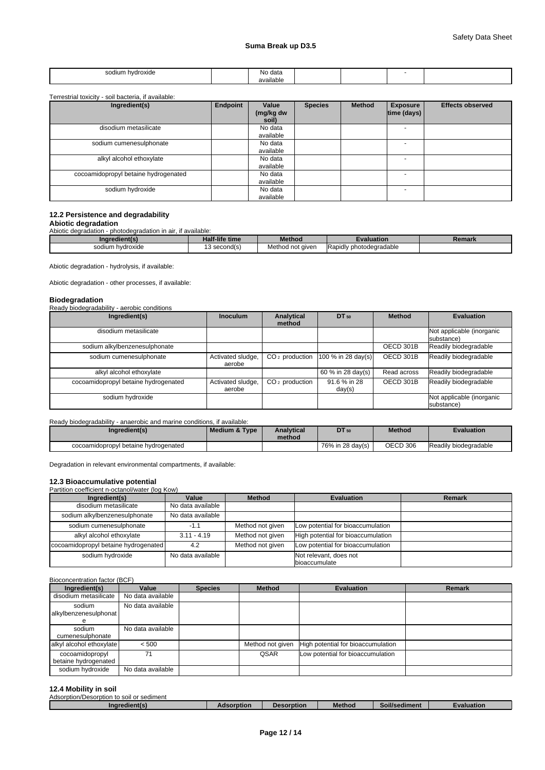| ım<br>⊸odiu.<br>hvdroxide<br>יי<br>. | No data       |  |  |
|--------------------------------------|---------------|--|--|
|                                      | <br>available |  |  |

#### Terrestrial toxicity - soil bacteria, if available:

| Ingredient(s)                        | Endpoint | Value<br>(mg/kg dw<br>soil) | <b>Species</b> | <b>Method</b> | <b>Exposure</b><br>time (days) | <b>Effects observed</b> |
|--------------------------------------|----------|-----------------------------|----------------|---------------|--------------------------------|-------------------------|
| disodium metasilicate                |          | No data<br>available        |                |               |                                |                         |
| sodium cumenesulphonate              |          | No data<br>available        |                |               |                                |                         |
| alkyl alcohol ethoxylate             |          | No data<br>available        |                |               |                                |                         |
| cocoamidopropyl betaine hydrogenated |          | No data<br>available        |                |               |                                |                         |
| sodium hydroxide                     |          | No data<br>available        |                |               |                                |                         |

## **12.2 Persistence and degradability**

**Abiotic degradation** Abiotic degradation - photodegradation in air, if available:

| Ingredien        | <b>Half-life time</b>     | Method           | <b>Evaluation</b>       | Remark |
|------------------|---------------------------|------------------|-------------------------|--------|
| sodium hydroxide | $\cdot$<br>ָ<br>second(s) | Method not given | Rapidly photodegradable |        |

Abiotic degradation - hydrolysis, if available:

Abiotic degradation - other processes, if available:

#### **Biodegradation**

| Ready biodegradability - aerobic conditions |                             |                      |                        |               |                                         |
|---------------------------------------------|-----------------------------|----------------------|------------------------|---------------|-----------------------------------------|
| Ingredient(s)                               | <b>Inoculum</b>             | Analytical<br>method | DT 50                  | <b>Method</b> | <b>Evaluation</b>                       |
| disodium metasilicate                       |                             |                      |                        |               | Not applicable (inorganic<br>substance) |
| sodium alkylbenzenesulphonate               |                             |                      |                        | OECD 301B     | Readily biodegradable                   |
| sodium cumenesulphonate                     | Activated sludge,<br>aerobe | $CO2$ production     | $100 \%$ in 28 day(s)  | OECD 301B     | Readily biodegradable                   |
| alkyl alcohol ethoxylate                    |                             |                      | 60 % in 28 day(s)      | Read across   | Readily biodegradable                   |
| cocoamidopropyl betaine hydrogenated        | Activated sludge,<br>aerobe | $CO2$ production     | 91.6 % in 28<br>day(s) | OECD 301B     | Readily biodegradable                   |
| sodium hydroxide                            |                             |                      |                        |               | Not applicable (inorganic<br>substance) |

## Ready biodegradability - anaerobic and marine conditions, if available:

| Ingredient(s)                        | Medium & Type | <b>Analytical</b><br>method | <b>DT</b> 50     | <b>Method</b> | <b>Evaluation</b>     |
|--------------------------------------|---------------|-----------------------------|------------------|---------------|-----------------------|
| cocoamidopropyl betaine hydrogenated |               |                             | 76% in 28 day(s) | OECD 306      | Readily biodegradable |

Degradation in relevant environmental compartments, if available:

# **12.3 Bioaccumulative potential**<br>Partition coefficient n-octanol/water (log Kow)

| Partition coefficient n-octanol/water (log Kow) |                   |                  |                                         |               |
|-------------------------------------------------|-------------------|------------------|-----------------------------------------|---------------|
| Ingredient(s)                                   | Value             | <b>Method</b>    | <b>Evaluation</b>                       | <b>Remark</b> |
| disodium metasilicate                           | No data available |                  |                                         |               |
| sodium alkylbenzenesulphonate                   | No data available |                  |                                         |               |
| sodium cumenesulphonate                         | $-1.1$            | Method not given | Low potential for bioaccumulation       |               |
| alkyl alcohol ethoxylate                        | $3.11 - 4.19$     | Method not given | High potential for bioaccumulation      |               |
| cocoamidopropyl betaine hydrogenated            | 4.2               | Method not given | Low potential for bioaccumulation       |               |
| sodium hydroxide                                | No data available |                  | Not relevant, does not<br>bioaccumulate |               |

#### Bioconcentration factor (BCF)<br>
Ingredient(s) 
I Value Ingredient(s) **Value | Species | Method | Evaluation | Remark** Remark | Remark disodium metasilicate | No data available sodium <sup>e</sup> No data available alkylbenzenesulphonat sodium No data available cumenesulphonate<br>alkyl alcohol ethoxylate <500 Method not given High potential for bioaccumulation cocoamidopropyl betaine hydrogenated 71 **QSAR** Low potential for bioaccumulation sodium hydroxide No data available

## **12.4 Mobility in soil**

| or sediment<br>Adsorption<br>/Desorption to<br>to soil or |            |            |        |                                  |            |
|-----------------------------------------------------------|------------|------------|--------|----------------------------------|------------|
| Ingredient(s                                              | Adsorption | Desorption | Method | $\cdots$<br><b>Soil/sediment</b> | Evaluation |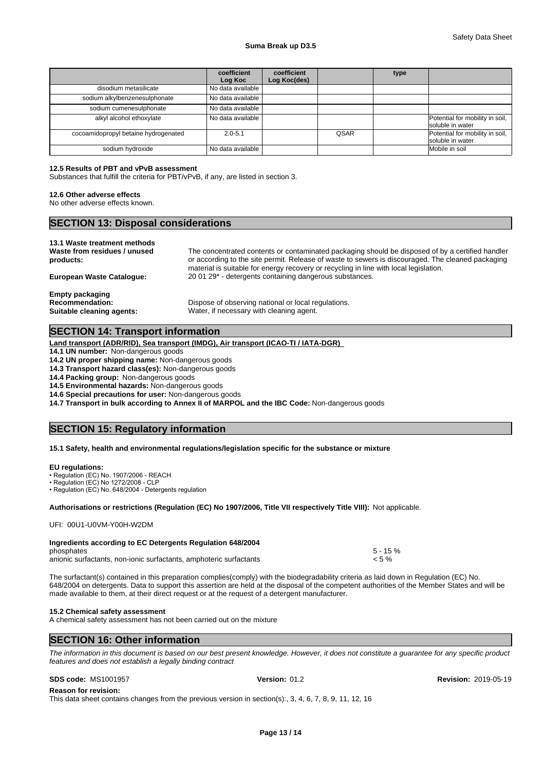|                                      | coefficient<br>Log Koc | coefficient<br>Log Koc(des) |      | type |                                                     |
|--------------------------------------|------------------------|-----------------------------|------|------|-----------------------------------------------------|
| disodium metasilicate                | No data available      |                             |      |      |                                                     |
| sodium alkylbenzenesulphonate        | No data available      |                             |      |      |                                                     |
| sodium cumenesulphonate              | No data available      |                             |      |      |                                                     |
| alkyl alcohol ethoxylate             | No data available      |                             |      |      | Potential for mobility in soil,<br>soluble in water |
| cocoamidopropyl betaine hydrogenated | $2.0 - 5.1$            |                             | QSAR |      | Potential for mobility in soil,<br>soluble in water |
| sodium hydroxide                     | No data available      |                             |      |      | Mobile in soil                                      |

## **12.5 Results of PBT and vPvB assessment**

Substances that fulfill the criteria for PBT/vPvB, if any, are listed in section 3.

## **12.6 Other adverse effects**

No other adverse effects known.

## **SECTION 13: Disposal considerations**

| 13.1 Waste treatment methods<br>Waste from residues / unused<br>products: | The concentrated contents or contaminated packaging should be disposed of by a certified handler<br>or according to the site permit. Release of waste to sewers is discouraged. The cleaned packaging<br>material is suitable for energy recovery or recycling in line with local legislation. |
|---------------------------------------------------------------------------|------------------------------------------------------------------------------------------------------------------------------------------------------------------------------------------------------------------------------------------------------------------------------------------------|
| European Waste Cataloque:                                                 | 20 01 29 <sup>*</sup> - detergents containing dangerous substances.                                                                                                                                                                                                                            |
| <b>Empty packaging</b><br>Recommendation:<br>Suitable cleaning agents:    | Dispose of observing national or local regulations.<br>Water, if necessary with cleaning agent.                                                                                                                                                                                                |

## **SECTION 14: Transport information**

**Land transport (ADR/RID), Sea transport (IMDG), Air transport (ICAO-TI / IATA-DGR)** 

**14.1 UN number:** Non-dangerous goods

**14.2 UN proper shipping name:** Non-dangerous goods

**14.3 Transport hazard class(es):** Non-dangerous goods

**14.4 Packing group:** Non-dangerous goods

**14.5 Environmental hazards:** Non-dangerous goods

**14.6 Special precautions for user:** Non-dangerous goods

**14.7 Transport in bulk according to Annex II of MARPOL and the IBC Code:** Non-dangerous goods

## **SECTION 15: Regulatory information**

#### **15.1 Safety, health and environmental regulations/legislation specific for the substance or mixture**

#### **EU regulations:**

• Regulation (EC) No. 1907/2006 - REACH

• Regulation (EC) No 1272/2008 - CLP

• Regulation (EC) No. 648/2004 - Detergents regulation

### **Authorisations or restrictions (Regulation (EC) No 1907/2006, Title VII respectively Title VIII):** Not applicable.

UFI: 00U1-U0VM-Y00H-W2DM

| Ingredients according to EC Detergents Regulation 648/2004         |             |
|--------------------------------------------------------------------|-------------|
| phosphates                                                         | $5 - 15 \%$ |
| anionic surfactants, non-ionic surfactants, amphoteric surfactants | $< 5 \%$    |

The surfactant(s) contained in this preparation complies(comply) with the biodegradability criteria as laid down in Regulation (EC) No. 648/2004 on detergents. Data to support this assertion are held at the disposal of the competent authorities of the Member States and will be made available to them, at their direct request or at the request of a detergent manufacturer.

#### **15.2 Chemical safety assessment**

A chemical safety assessment has not been carried out on the mixture

## **SECTION 16: Other information**

*The information in this document is based on our best present knowledge. However, it does not constitute a guarantee for any specific product features and does not establish a legally binding contract*

**Reason for revision:** This data sheet contains changes from the previous version in section(s):, 3, 4, 6, 7, 8, 9, 11, 12, 16

**SDS code:** MS1001957 **Version:** 01.2 **Revision:** 2019-05-19